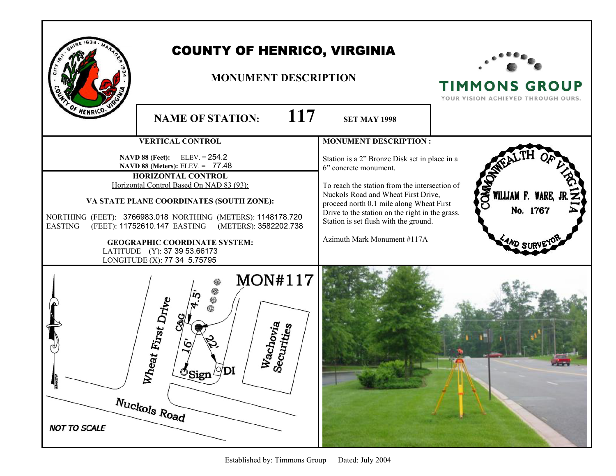|                                 | <b>COUNTY OF HENRICO, VIRGINIA</b><br><b>MONUMENT DESCRIPTION</b><br><b>117</b><br><b>NAME OF STATION:</b>                                                                                                                                                                                                                                                                                                                                      | <b>SET MAY 1998</b>                                                                                                                                                                                                                                                                                                                                                   | <b>TIMMONS GROUP</b><br>YOUR VISION ACHIEVED THROUGH OURS. |
|---------------------------------|-------------------------------------------------------------------------------------------------------------------------------------------------------------------------------------------------------------------------------------------------------------------------------------------------------------------------------------------------------------------------------------------------------------------------------------------------|-----------------------------------------------------------------------------------------------------------------------------------------------------------------------------------------------------------------------------------------------------------------------------------------------------------------------------------------------------------------------|------------------------------------------------------------|
| <b>EASTING</b>                  | <b>VERTICAL CONTROL</b><br><b>NAVD 88 (Feet):</b> ELEV. = $254.2$<br>NAVD 88 (Meters): ELEV. = 77.48<br>HORIZONTAL CONTROL<br>Horizontal Control Based On NAD 83 (93):<br>VA STATE PLANE COORDINATES (SOUTH ZONE):<br>NORTHING (FEET): 3766983.018 NORTHING (METERS): 1148178.720<br>(FEET): 11752610.147 EASTING (METERS): 3582202.738<br><b>GEOGRAPHIC COORDINATE SYSTEM:</b><br>LATITUDE (Y): 37 39 53.66173<br>LONGITUDE (X): 77 34 5.75795 | <b>MONUMENT DESCRIPTION:</b><br>Station is a 2" Bronze Disk set in place in a<br>6" concrete monument.<br>To reach the station from the intersection of<br>Nuckols Road and Wheat First Drive,<br>proceed north 0.1 mile along Wheat First<br>Drive to the station on the right in the grass.<br>Station is set flush with the ground.<br>Azimuth Mark Monument #117A | <b>QWO</b><br>WILLIAM F. WARE,<br>No. 1767                 |
| MAGNETIC<br><b>NOT TO SCALE</b> | <b>MON#117</b><br>Wheat First Drive<br>Wachovi <sub>a</sub><br>Securities<br>$\mathbb{C}$ Sign $\mathbb{C}$ <sup>Di</sup><br>Nuckols Road                                                                                                                                                                                                                                                                                                       |                                                                                                                                                                                                                                                                                                                                                                       |                                                            |